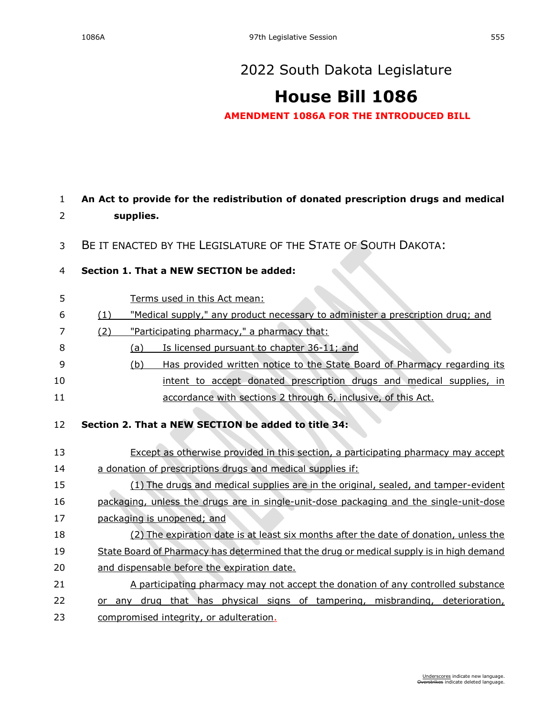# **[House Bill 1086](https://sdlegislature.gov/Session/Bill/22943)**

**AMENDMENT 1086A FOR THE INTRODUCED BILL**

# 1 **An Act to provide for the redistribution of donated prescription drugs and medical**  2 **supplies.**

3 BE IT ENACTED BY THE LEGISLATURE OF THE STATE OF SOUTH DAKOTA:

## 4 **Section 1. That a NEW SECTION be added:**

- 5 Terms used in this Act mean:
- 6 (1) "Medical supply," any product necessary to administer a prescription drug; and

#### 7 (2) "Participating pharmacy," a pharmacy that:

- 8 (a) Is licensed pursuant to chapter [36-11;](https://sdlegislature.gov/Statutes?Statute=36-11) and
- 9 (b) Has provided written notice to the State Board of Pharmacy regarding its 10 intent to accept donated prescription drugs and medical supplies, in 11 accordance with sections 2 through 6, inclusive, of this Act.

## 12 **Section 2. That a NEW SECTION be added to title 34:**

| 13 | Except as otherwise provided in this section, a participating pharmacy may accept         |
|----|-------------------------------------------------------------------------------------------|
| 14 | a donation of prescriptions drugs and medical supplies if:                                |
| 15 | (1) The drugs and medical supplies are in the original, sealed, and tamper-evident        |
| 16 | packaging, unless the drugs are in single-unit-dose packaging and the single-unit-dose    |
| 17 | packaging is unopened; and                                                                |
| 18 | (2) The expiration date is at least six months after the date of donation, unless the     |
| 19 | State Board of Pharmacy has determined that the drug or medical supply is in high demand  |
| 20 | and dispensable before the expiration date.                                               |
| 21 | A participating pharmacy may not accept the donation of any controlled substance          |
| 22 | physical signs of tampering, misbranding, deterioration,<br>that has<br>drua<br>anv<br>or |
| 23 | compromised integrity, or adulteration.                                                   |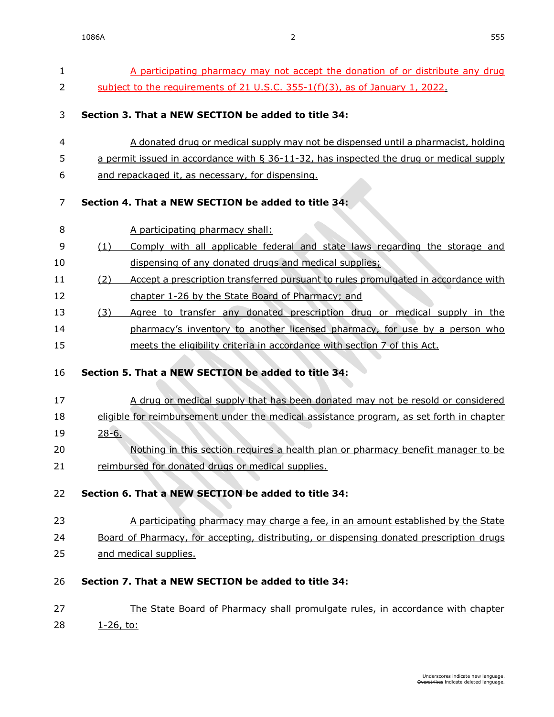| $\mathbf{1}$ | A participating pharmacy may not accept the donation of or distribute any drug                               |
|--------------|--------------------------------------------------------------------------------------------------------------|
| 2            | subject to the requirements of 21 U.S.C. 355-1(f)(3), as of January 1, 2022.                                 |
|              |                                                                                                              |
| 3            | Section 3. That a NEW SECTION be added to title 34:                                                          |
| 4            | A donated drug or medical supply may not be dispensed until a pharmacist, holding                            |
| 5            | <u>a permit issued in accordance with <math>\S</math> 36-11-32, has inspected the drug or medical supply</u> |
| 6            | and repackaged it, as necessary, for dispensing.                                                             |
|              |                                                                                                              |
| 7            | Section 4. That a NEW SECTION be added to title 34:                                                          |
| 8            | A participating pharmacy shall:                                                                              |
| 9            | Comply with all applicable federal and state laws regarding the storage and<br>(1)                           |
| 10           | dispensing of any donated drugs and medical supplies;                                                        |
| 11           | Accept a prescription transferred pursuant to rules promulgated in accordance with<br>(2)                    |
| 12           | chapter 1-26 by the State Board of Pharmacy; and                                                             |
| 13           | Agree to transfer any donated prescription drug or medical supply in the<br>(3)                              |
| 14           | pharmacy's inventory to another licensed pharmacy, for use by a person who                                   |
| 15           | meets the eligibility criteria in accordance with section 7 of this Act.                                     |
|              |                                                                                                              |
| 16           | Section 5. That a NEW SECTION be added to title 34:                                                          |
| 17           | A drug or medical supply that has been donated may not be resold or considered                               |
| 18           | eligible for reimbursement under the medical assistance program, as set forth in chapter                     |
| 19           | $28-6.$                                                                                                      |
| 20           | Nothing in this section requires a health plan or pharmacy benefit manager to be                             |
| 21           | reimbursed for donated drugs or medical supplies.                                                            |
|              |                                                                                                              |
| 22           | Section 6. That a NEW SECTION be added to title 34:                                                          |
| 23           | A participating pharmacy may charge a fee, in an amount established by the State                             |
| 24           | Board of Pharmacy, for accepting, distributing, or dispensing donated prescription drugs                     |
| 25           | and medical supplies.                                                                                        |
|              |                                                                                                              |
| 26           | Section 7. That a NEW SECTION be added to title 34:                                                          |
| 27           | The State Board of Pharmacy shall promulgate rules, in accordance with chapter                               |
| 28           | <u>1-26, to:</u>                                                                                             |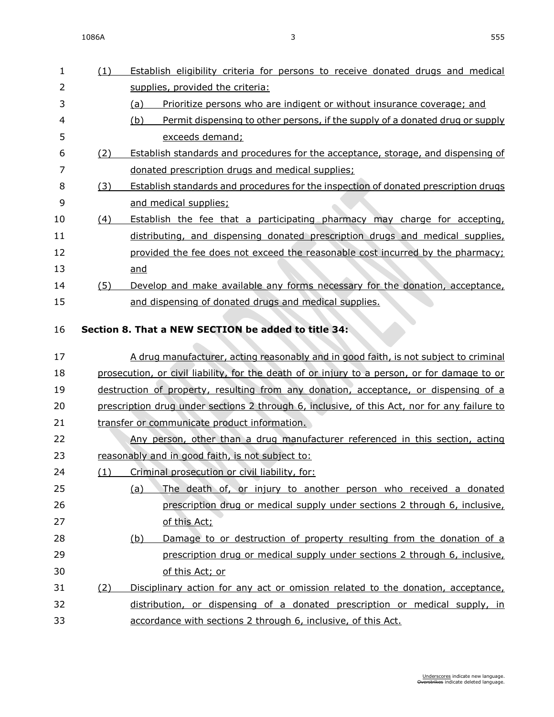1086A 3 555

| 1  | (1) | Establish eligibility criteria for persons to receive donated drugs and medical              |
|----|-----|----------------------------------------------------------------------------------------------|
| 2  |     | supplies, provided the criteria:                                                             |
| 3  |     | (a)<br>Prioritize persons who are indigent or without insurance coverage; and                |
| 4  |     | Permit dispensing to other persons, if the supply of a donated drug or supply<br>(b)         |
| 5  |     | exceeds demand;                                                                              |
| 6  | (2) | Establish standards and procedures for the acceptance, storage, and dispensing of            |
| 7  |     | donated prescription drugs and medical supplies;                                             |
| 8  | (3) | Establish standards and procedures for the inspection of donated prescription drugs          |
| 9  |     | and medical supplies;                                                                        |
| 10 | (4) | Establish the fee that a participating pharmacy may charge for accepting,                    |
| 11 |     | distributing, and dispensing donated prescription drugs and medical supplies,                |
| 12 |     | provided the fee does not exceed the reasonable cost incurred by the pharmacy;               |
| 13 |     | and                                                                                          |
| 14 | (5) | Develop and make available any forms necessary for the donation, acceptance,                 |
| 15 |     | and dispensing of donated drugs and medical supplies.                                        |
|    |     |                                                                                              |
| 16 |     | Section 8. That a NEW SECTION be added to title 34:                                          |
|    |     |                                                                                              |
| 17 |     | A drug manufacturer, acting reasonably and in good faith, is not subject to criminal         |
| 18 |     | prosecution, or civil liability, for the death of or injury to a person, or for damage to or |
| 19 |     | destruction of property, resulting from any donation, acceptance, or dispensing of a         |
| 20 |     | prescription drug under sections 2 through 6, inclusive, of this Act, nor for any failure to |
| 21 |     | transfer or communicate product information.                                                 |
| 22 |     | Any person, other than a drug manufacturer referenced in this section, acting                |
| 23 |     | reasonably and in good faith, is not subject to:                                             |
| 24 |     | (1) Criminal prosecution or civil liability, for:                                            |
| 25 |     | The death of, or injury to another person who received a donated<br>(a)                      |
| 26 |     | prescription drug or medical supply under sections 2 through 6, inclusive,                   |
| 27 |     | of this Act;                                                                                 |
| 28 |     | Damage to or destruction of property resulting from the donation of a<br>(b)                 |
| 29 |     | prescription drug or medical supply under sections 2 through 6, inclusive,                   |
| 30 |     | of this Act; or                                                                              |
| 31 | (2) | Disciplinary action for any act or omission related to the donation, acceptance,             |
| 32 |     | distribution, or dispensing of a donated prescription or medical supply, in                  |